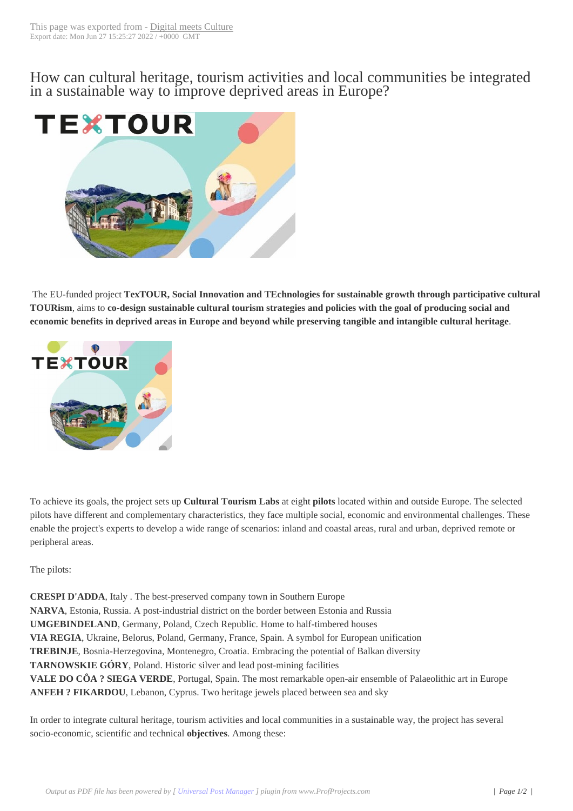How can cultural h[eritage, tourism](https://www.digitalmeetsculture.net/?p=58903) activities and local communities be integrated in a sustainable way to improve deprived areas in Europe?



The EU-funded project **TexTOUR, Social Innovation and TEchnologies for sustainable growth through participative cultural TOURism**, aims to **co-design sustainable cultural tourism strategies and policies with the goal of producing social and economic benefits in deprived areas in Europe and beyond while preserving tangible and intangible cultural heritage**.



To achieve its goals, the project sets up **Cultural Tourism Labs** at eight **pilots** located within and outside Europe. The selected pilots have different and complementary characteristics, they face multiple social, economic and environmental challenges. These enable the project's experts to develop a wide range of scenarios: inland and coastal areas, rural and urban, deprived remote or peripheral areas.

The pilots:

**CRESPI D'ADDA**, Italy . The best-preserved company town in Southern Europe **NARVA**, Estonia, Russia. A post-industrial district on the border between Estonia and Russia **UMGEBINDELAND**, Germany, Poland, Czech Republic. Home to half-timbered houses **VIA REGIA**, Ukraine, Belorus, Poland, Germany, France, Spain. A symbol for European unification **TREBINJE**, Bosnia-Herzegovina, Montenegro, Croatia. Embracing the potential of Balkan diversity **TARNOWSKIE GÓRY**, Poland. Historic silver and lead post-mining facilities **VALE DO CÔA ? SIEGA VERDE**, Portugal, Spain. The most remarkable open-air ensemble of Palaeolithic art in Europe **ANFEH ? FIKARDOU**, Lebanon, Cyprus. Two heritage jewels placed between sea and sky

In order to integrate cultural heritage, tourism activities and local communities in a sustainable way, the project has several socio-economic, scientific and technical **objectives**. Among these: